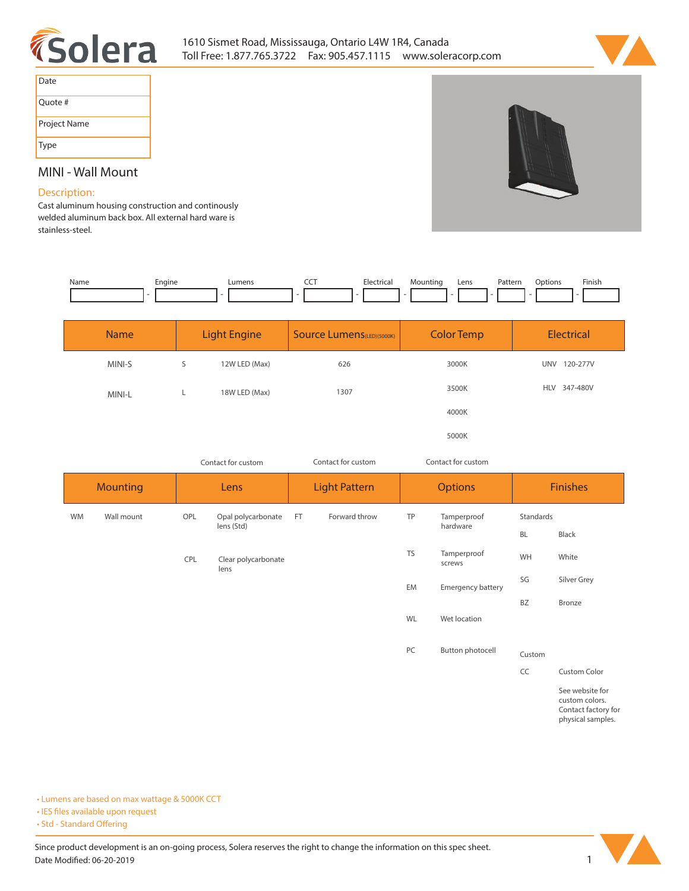



| Date         |
|--------------|
| Quote #      |
| Project Name |
| Type         |

## **MINI - Wall Mount**

## **Description:**

**Cast aluminum housing construction and continously welded aluminum back box. All external hard ware is stainless-steel.** 

| Name | Engine | umens_ | --- | Electrici | vlountina | Lens | Pattern<br>. | Dotions | Finish |
|------|--------|--------|-----|-----------|-----------|------|--------------|---------|--------|
|      |        |        |     |           |           |      |              |         |        |

| <b>Name</b> | <b>Light Engine</b> |               | Source Lumens(LED)(5000K) | <b>Color Temp</b> | Electrical             |  |
|-------------|---------------------|---------------|---------------------------|-------------------|------------------------|--|
| MINI-S      | S                   | 12W LED (Max) | 626                       | 3000K             | <b>UNV</b><br>120-277V |  |
| MINI-L      |                     | 18W LED (Max) | 1307                      | 3500K             | HLV 347-480V           |  |
|             |                     |               |                           | 4000K             |                        |  |
|             |                     |               |                           | 5000K             |                        |  |

*Contact for custom Contact for custom*

*Contact for custom*

|    | <b>Mounting</b> | Lens |                                  | <b>Light Pattern</b> |               | <b>Options</b> |                         | <b>Finishes</b> |                                                          |
|----|-----------------|------|----------------------------------|----------------------|---------------|----------------|-------------------------|-----------------|----------------------------------------------------------|
| WM | Wall mount      | OPL  | Opal polycarbonate<br>lens (Std) | <b>FT</b>            | Forward throw | TP             | Tamperproof<br>hardware | Standards       |                                                          |
|    |                 |      |                                  |                      |               |                |                         | <b>BL</b>       | Black                                                    |
|    |                 | CPL  | Clear polycarbonate<br>lens      |                      |               | <b>TS</b>      | Tamperproof<br>screws   | WH              | White                                                    |
|    |                 |      |                                  |                      |               | EM             | Emergency battery       | SG              | Silver Grey                                              |
|    |                 |      |                                  |                      |               |                |                         | <b>BZ</b>       | Bronze                                                   |
|    |                 |      |                                  |                      |               | WL             | Wet location            |                 |                                                          |
|    |                 |      |                                  |                      |               |                |                         |                 |                                                          |
|    |                 |      |                                  |                      |               | PC             | Button photocell        | Custom          |                                                          |
|    |                 |      |                                  |                      |               |                |                         | CC              | Custom Color                                             |
|    |                 |      |                                  |                      |               |                |                         |                 | See website for<br>custom colors.<br>Contact factory for |

**physical samples.** 

**• Lumens are based on max wattage & 5000K CCT**

**• IES files available upon request** 

• Std - Standard Offering

Since product development is an on-going process, Solera reserves the right to change the information on this spec sheet. **Date Modified: 06-20-2019** 1